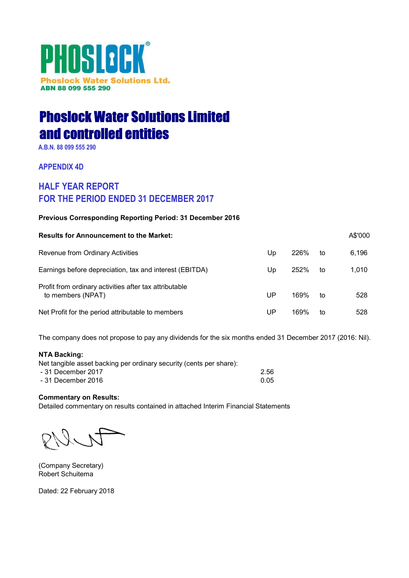# PHOSLOCK® **Phoslock Water Solutions Ltd.** ABN 88 099 555 290

# Phoslock Water Solutions Limited and controlled entities

A.B.N. 88 099 555 290

# APPENDIX 4D

# HALF YEAR REPORT FOR THE PERIOD ENDED 31 DECEMBER 2017

# Previous Corresponding Reporting Period: 31 December 2016

| <b>Results for Announcement to the Market:</b>                              |    |      |    | A\$'000 |
|-----------------------------------------------------------------------------|----|------|----|---------|
| Revenue from Ordinary Activities                                            | Up | 226% | to | 6,196   |
| Earnings before depreciation, tax and interest (EBITDA)                     | Up | 252% | to | 1,010   |
| Profit from ordinary activities after tax attributable<br>to members (NPAT) | UP | 169% | to | 528     |
| Net Profit for the period attributable to members                           | UP | 169% | to | 528     |

The company does not propose to pay any dividends for the six months ended 31 December 2017 (2016: Nil).

# NTA Backing:

| Net tangible asset backing per ordinary security (cents per share): |      |
|---------------------------------------------------------------------|------|
| - 31 December 2017                                                  | 2.56 |
| - 31 December 2016                                                  | 0.05 |

# Commentary on Results:

Detailed commentary on results contained in attached Interim Financial Statements

(Company Secretary) Robert Schuitema

Dated: 22 February 2018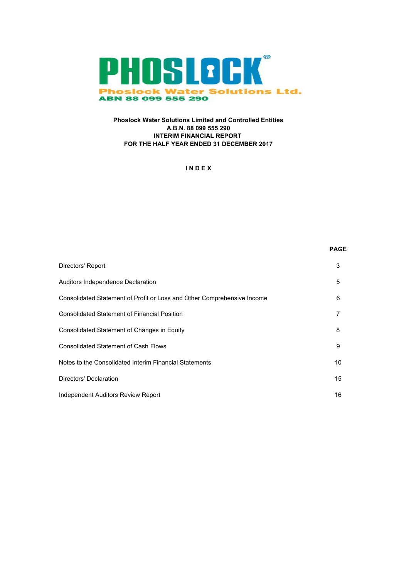

# Phoslock Water Solutions Limited and Controlled Entities A.B.N. 88 099 555 290 INTERIM FINANCIAL REPORT FOR THE HALF YEAR ENDED 31 DECEMBER 2017

# I N D E X

|                                                                         | FAUE |
|-------------------------------------------------------------------------|------|
| Directors' Report                                                       | 3    |
| Auditors Independence Declaration                                       | 5    |
| Consolidated Statement of Profit or Loss and Other Comprehensive Income | 6    |
| <b>Consolidated Statement of Financial Position</b>                     | 7    |
| Consolidated Statement of Changes in Equity                             | 8    |
| <b>Consolidated Statement of Cash Flows</b>                             | 9    |
| Notes to the Consolidated Interim Financial Statements                  | 10   |
| Directors' Declaration                                                  | 15   |
| Independent Auditors Review Report                                      | 16   |

PAGE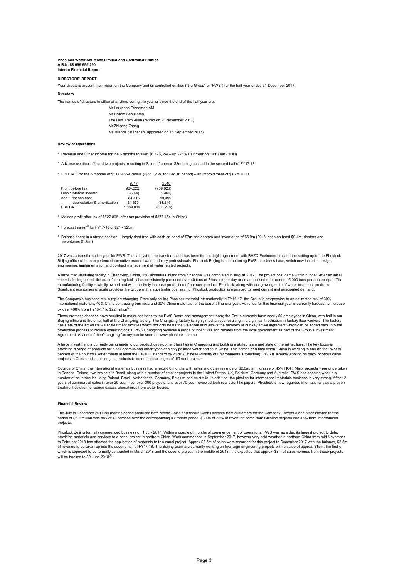#### Interim Financial Report Phoslock Water Solutions Limited and Controlled Entities A.B.N. 88 099 555 290

#### DIRECTORS' REPORT

Your directors present their report on the Company and its controlled entities ("the Group" or "PWS") for the half year ended 31 December 2017.

**Directors** 

The names of directors in office at anytime during the year or since the end of the half year are:

Mr Laurence Freedman AM Mr Robert Schuitema The Hon. Pam Allan (retired on 23 November 2017) Mr Zhigang Zhang Ms Brenda Shanahan (appointed on 15 September 2017)

#### Review of Operations

- \* Revenue and Other Income for the 6 months totalled \$6,196,354 up 226% Half Year on Half Year (HOH)
- \* Adverse weather affected two projects, resulting in Sales of approx. \$3m being pushed in the second half of FY17-18
- \* EBITDA(1) for the 6 months of \$1,009,669 versus ((\$663,238) for Dec 16 period) an improvement of \$1.7m HOH

|                             | 2017      | 2016       |
|-----------------------------|-----------|------------|
| Profit before tax           | 904.322   | (759, 626) |
| Less : interest income      | (3,744)   | (1,356)    |
| Add: finance cost           | 84.418    | 59.499     |
| depreciation & amortization | 24.673    | 38.245     |
| <b>EBITDA</b>               | 1.009.669 | (663.238)  |

\* Maiden profit after tax of \$527,868 (after tax provision of \$376,454 in China)

- $*$  Forecast sales<sup>(2)</sup> for FY17-18 of \$21 \$23m
- \* Balance sheet in a strong position largely debt free with cash on hand of \$7m and debtors and inventories of \$5.9m (2016: cash on hand \$0.4m; debtors and inventories \$1.6m)

2017 was a transformation year for PWS. The catalyst to the transformation has been the strategic agreement with BHZQ Environmental and the setting up of the Phoslock<br>Beijing office with an experienced executive team of wa engineering, implementation and contract management of water related projects.

A large manufacturing facility in Changxing, China, 150 kilometres inland from Shanghai was completed in August 2017. The project cost came within budget. After an initial<br>commissioning period, the manufacturing facility h manufacturing facility is wholly owned and will massively increase production of our core product, Phoslock, along with our growing suite of water treatment products.<br>Significant economies of scale provides the Group with

The Company's business mix is rapidly changing. From only selling Phoslock material internationally in FY16-17, the Group is progressing to an estimated mix of 30% international materials, 40% China contracting business and 30% China materials for the current financial year. Revenue for this financial year is currently forecast to increase by over 400% from FY16-17 to \$22 million<sup>(2)</sup>.

These dramatic changes have resulted in major additions to the PWS Board and management team; the Group currently have nearly 50 employees in China, with half in our Beijing office and the other half at the Changxing factory. The Changxing factory is highly mechanised resulting in a significant reduction in factory floor workers. The factory<br>has state of the art waste water treatment f Agreement. A video of the Changxing factory can be seen on www.phoslock.com.au

A large investment is currently being made to our product development facilities in Changxing and building a skilled team and state of the art facilities. The key focus is<br>providing a range of products for black odorous an percent of the country's water meets at least the Level III standard by 2020" (Chinese Ministry of Environmental Protection). PWS is already working on black odorous canal projects in China and is tailoring its products to meet the challenges of different projects.

Outside of China, the international materials business had a record 6 months with sales and other revenue of \$2.8m, an increase of 45% HOH. Major projects were underta in Canada, Poland, two projects in Brazil, along with a number of smaller projects in the United States, UK, Belgium, Germany and Australia. PWS has ongoing work in a number of countries including Poland, Brazil, Netherlands, Germany, Belgium and Australia. In addition, the pipeline for international materials business is very strong. After 12 years of commercial sales in over 20 countries, over 300 projects, and over 70 peer reviewed technical scientific papers, Phoslock is now regarded internationally as a proven years or committent sales in over zo commissi, over see projectors.<br>treatment solution to reduce excess phosphorus from water bodies.

#### Financial Review

The July to December 2017 six months period produced both record Sales and record Cash Receipts from customers for the Company. Revenue and other income for the period of \$6.2 million was an 226% increase over the corresponding six month period. \$3.4m or 55% of revenues came from Chinese projects and 45% from International projects.

Phoslock Beiling formally commenced business on 1 July 2017. Within a couple of months of commencement of operations, PWS was awarded its largest project to date, providing materials and services to a canal project in northern China. Work commenced in September 2017, however very cold weather in northern China from mid November<br>to February 2018 has affected the application of materi of revenue to be taken up into the second half of FY17-18. The Beijing team are currently working on two large engineering projects with a value of approx. \$15m, the first of which is expected to be formally contracted in March 2018 and the second project in the middle of 2018. It is expected that approx. \$8m of sales revenue from these projects will be booked to 30 June  $2018^{(2)}$ .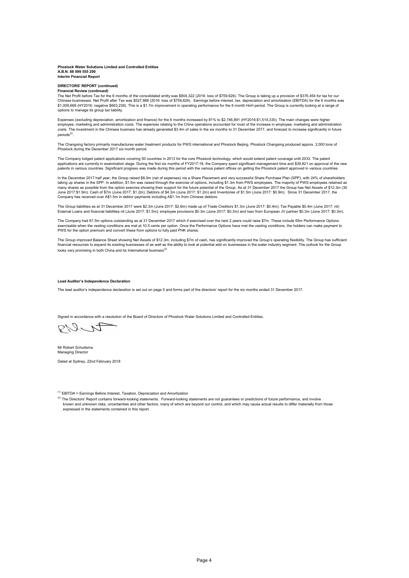#### Interim Financial Report Phoslock Water Solutions Limited and Controlled Entities A.B.N. 88 099 555 290

#### Financial Review (continued) DIRECTORS' REPORT (continued)

The Net Profit before Tax for the 6 months of the consolidated entity was \$904,322 (2016: loss of \$759,626). The Group is taking up a provision of \$376,454 for tax for our<br>Chinese businesses. Net Profit after Tax was \$527, \$1,009,669 (HY2016: negative \$663,238). This is a \$1.7m improvement in operating performance for the 6 month HoH period. The Group is currently looking at a range of options to manage its group tax liability.

Expenses (excluding depreciation, amortization and finance) for the 6 months increased by 81% to \$2,746,891 (HY2016:\$1,514,330). The main changes were higher employee, marketing and administration costs. The expenses relating to the China operations accounted for most of the increase in employee, marketing and administration<br>costs. The investment in the Chinese business has alr periods<sup>(2)</sup>.

The Changxing factory primarily manufactures water treatment products for PWS international and Phoslock Beijing. Phoslock Changxing produced approx. 2,000 tons of Phoslock during the December 2017 six month period.

The Company lodged patent applications covering 50 countries in 2013 for the core Phoslock technology, which would extend patent coverage until 2033. The patent applications are currently in examination stage. During the first six months of FY2017-18, the Company spent significant management time and \$39,821 on approval of the new patents in various countries. Significant progress was made during this period with the various patent offices on getting the Phoslock patent approved in various countries.

In the December 2017 half year, the Group raised \$8.0m (net of expenses) via a Share Placement and very successful Share Purchase Plan (SPP), with 24% of shareholders taking up shares in the SPP. In addition, \$1.5m was raised through the exercise of options, including \$1.3m from PWS employees. The majority of PWS employees retained as<br>many shares as possible from the option exercise sho June 2017:\$1.9m); Cash of \$7m (June 2017: \$1.2m); Debtors of \$4.3m (June 2017: \$1.2m) and Inventories of \$1.5m (June 2017: \$0.9m). Since 31 December 2017, the<br>Company has received over A\$1.5m in debtor payments including

The Group liabilities as at 31 December 2017 were \$2.3m (June 2017: \$2.6m) made up of Trade Creditors \$1.3m (June 2017: \$0.4m); Tax Payable \$0.4m (June 2017: nil) External Loans and financial liabilities nil (June 2017: \$1.5m); employee provisions \$0.3m (June 2017: \$0.3m) and loan from European JV partner \$0.3m (June 2017: \$0.3m).

The Company had 67.5m options outstanding as at 31 December 2017 which if exercised over the next 2 years could raise \$7m. These include 65m Performance Options<br>exercisable when the vesting conditions are met at 10.5 cents PWS for the option premium and convert these from options to fully paid PHK shares.

The Group improved Balance Sheet showing Net Assets of \$12.3m, including \$7m of cash, has significantly improved the Group's operating flexibility. The Group has sufficient<br>financial resources to expand its existing busine looks very promising in both China and its International business<sup>(2)</sup>

#### Lead Auditor's Independence Declaration

The lead auditor's independence declaration is set out on page 5 and forms part of the directors' report for the six months ended 31 December 2017.

Signed in accordance with a resolution of the Board of Directors of Phoslock Water Solutions Limited and Controlled Entities.

PILA

Mr Robert Schuitema Managing Director

Dated at Sydney, 22nd February 2018

 $<sup>(1)</sup>$  EBITDA = Earnings Before Interest, Taxation, Depreciation and Amortization</sup>

<sup>(2)</sup> The Directors' Report contains forward-looking statements. Forward-looking statements are not guarantees or predictions of future performance, and involve known and unknown risks, uncertainties and other factors, many of which are beyond our control, and which may cause actual results to differ materially from those expressed in the statements contained in this report.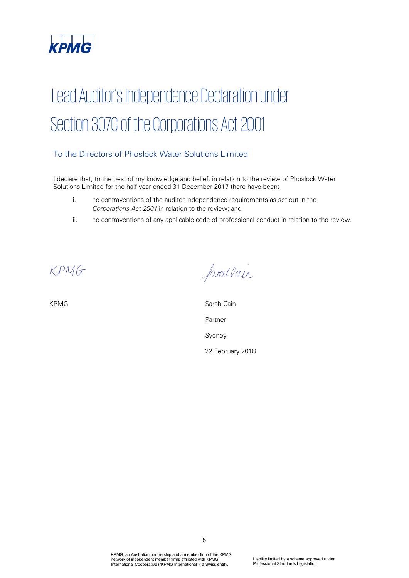

# Lead Auditor's Independence Declaration under Section 307C of the Corporations Act 2001

# To the Directors of Phoslock Water Solutions Limited

I declare that, to the best of my knowledge and belief, in relation to the review of Phoslock Water Solutions Limited for the half-year ended 31 December 2017 there have been:

- i. no contraventions of the auditor independence requirements as set out in the Corporations Act 2001 in relation to the review; and
- ii. no contraventions of any applicable code of professional conduct in relation to the review.

*PAR\_SIG\_01 PAR\_NAM\_01 PAR\_POS\_01 PAR\_DAT\_01 PAR\_CIT\_01*

farallain

KPMG Sarah Cain Partner Sydney 22 February 2018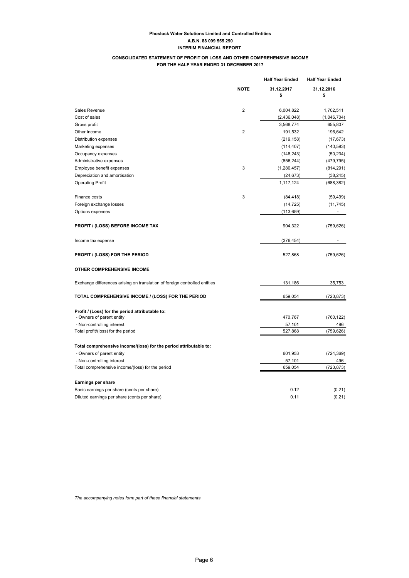# CONSOLIDATED STATEMENT OF PROFIT OR LOSS AND OTHER COMPREHENSIVE INCOME FOR THE HALF YEAR ENDED 31 DECEMBER 2017

|                                                                            |                | <b>Half Year Ended</b> | <b>Half Year Ended</b> |
|----------------------------------------------------------------------------|----------------|------------------------|------------------------|
|                                                                            | <b>NOTE</b>    | 31.12.2017             | 31.12.2016             |
|                                                                            |                | \$                     | \$                     |
| Sales Revenue                                                              | $\overline{2}$ | 6,004,822              | 1,702,511              |
| Cost of sales                                                              |                | (2,436,048)            | (1,046,704)            |
| Gross profit                                                               |                | 3,568,774              | 655,807                |
| Other income                                                               | $\overline{2}$ | 191,532                | 196,642                |
| <b>Distribution expenses</b>                                               |                | (219, 158)             | (17, 673)              |
| Marketing expenses                                                         |                | (114, 407)             | (140, 593)             |
| Occupancy expenses                                                         |                | (148, 243)             | (50, 234)              |
| Administrative expenses                                                    |                | (856, 244)             | (479, 795)             |
| Employee benefit expenses                                                  | 3              | (1,280,457)            | (814, 291)             |
| Depreciation and amortisation                                              |                | (24, 673)              | (38, 245)              |
| <b>Operating Profit</b>                                                    |                | 1,117,124              | (688, 382)             |
| Finance costs                                                              | 3              | (84, 418)              | (59, 499)              |
| Foreign exchange losses                                                    |                | (14, 725)              | (11, 745)              |
| Options expenses                                                           |                | (113, 659)             |                        |
|                                                                            |                |                        |                        |
| <b>PROFIT / (LOSS) BEFORE INCOME TAX</b>                                   |                | 904,322                | (759, 626)             |
| Income tax expense                                                         |                | (376, 454)             |                        |
| <b>PROFIT / (LOSS) FOR THE PERIOD</b>                                      |                | 527,868                | (759, 626)             |
| <b>OTHER COMPREHENSIVE INCOME</b>                                          |                |                        |                        |
| Exchange differences arising on translation of foreign controlled entities |                | 131,186                | 35,753                 |
| TOTAL COMPREHENSIVE INCOME / (LOSS) FOR THE PERIOD                         |                | 659,054                | (723, 873)             |
| Profit / (Loss) for the period attributable to:                            |                |                        |                        |
| - Owners of parent entity                                                  |                | 470,767                | (760, 122)             |
| - Non-controlling interest                                                 |                | 57,101                 | 496                    |
| Total profit/(loss) for the period                                         |                | 527,868                | (759,626)              |
| Total comprehensive income/(loss) for the period attributable to:          |                |                        |                        |
| - Owners of parent entity                                                  |                | 601,953                | (724, 369)             |
| - Non-controlling interest                                                 |                | 57,101                 | 496                    |
| Total comprehensive income/(loss) for the period                           |                | 659,054                | (723, 873)             |
|                                                                            |                |                        |                        |
| Earnings per share                                                         |                |                        |                        |
| Basic earnings per share (cents per share)                                 |                | 0.12                   | (0.21)                 |
| Diluted earnings per share (cents per share)                               |                | 0.11                   | (0.21)                 |

The accompanying notes form part of these financial statements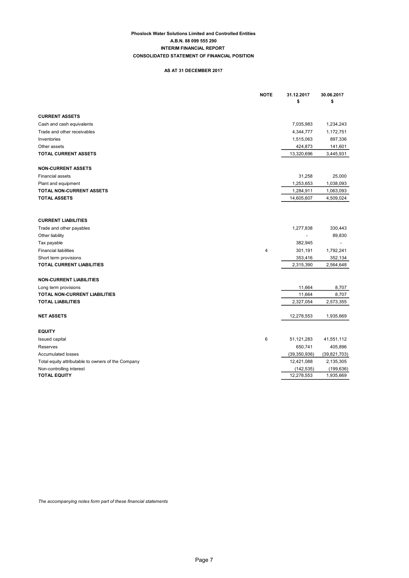## Phoslock Water Solutions Limited and Controlled Entities A.B.N. 88 099 555 290 CONSOLIDATED STATEMENT OF FINANCIAL POSITION INTERIM FINANCIAL REPORT

# AS AT 31 DECEMBER 2017

|                                                    | <b>NOTE</b> | 31.12.2017<br>\$ | 30.06.2017<br>\$ |
|----------------------------------------------------|-------------|------------------|------------------|
| <b>CURRENT ASSETS</b>                              |             |                  |                  |
| Cash and cash equivalents                          |             | 7,035,983        | 1,234,243        |
| Trade and other receivables                        |             | 4,344,777        | 1,172,751        |
| Inventories                                        |             | 1,515,063        | 897,336          |
| Other assets                                       |             | 424,873          | 141,601          |
| TOTAL CURRENT ASSETS                               |             | 13,320,696       | 3,445,931        |
| <b>NON-CURRENT ASSETS</b>                          |             |                  |                  |
| <b>Financial assets</b>                            |             | 31,258           | 25,000           |
| Plant and equipment                                |             | 1,253,653        | 1,038,093        |
| <b>TOTAL NON-CURRENT ASSETS</b>                    |             | 1,284,911        | 1,063,093        |
| <b>TOTAL ASSETS</b>                                |             | 14,605,607       | 4,509,024        |
| <b>CURRENT LIABILITIES</b>                         |             |                  |                  |
| Trade and other payables                           |             | 1,277,838        | 330,443          |
| Other liability                                    |             |                  | 89,830           |
| Tax payable                                        |             | 382,945          |                  |
| <b>Financial liabilities</b>                       | 4           | 301,191          | 1,792,241        |
| Short term provisions                              |             | 353,416          | 352,134          |
| TOTAL CURRENT LIABILITIES                          |             | 2,315,390        | 2,564,648        |
| <b>NON-CURRENT LIABILITIES</b>                     |             |                  |                  |
| Long term provisions                               |             | 11,664           | 8,707            |
| TOTAL NON-CURRENT LIABILITIES                      |             | 11,664           | 8,707            |
| <b>TOTAL LIABILITIES</b>                           |             | 2,327,054        | 2,573,355        |
| <b>NET ASSETS</b>                                  |             | 12,278,553       | 1,935,669        |
| <b>EQUITY</b>                                      |             |                  |                  |
| <b>Issued capital</b>                              | 6           | 51,121,283       | 41,551,112       |
| Reserves                                           |             | 650,741          | 405,896          |
| <b>Accumulated losses</b>                          |             | (39, 350, 936)   | (39, 821, 703)   |
| Total equity attributable to owners of the Company |             | 12,421,088       | 2,135,305        |
| Non-controlling interest                           |             | (142, 535)       | (199, 636)       |
| <b>TOTAL EQUITY</b>                                |             | 12,278,553       | 1,935,669        |

The accompanying notes form part of these financial statements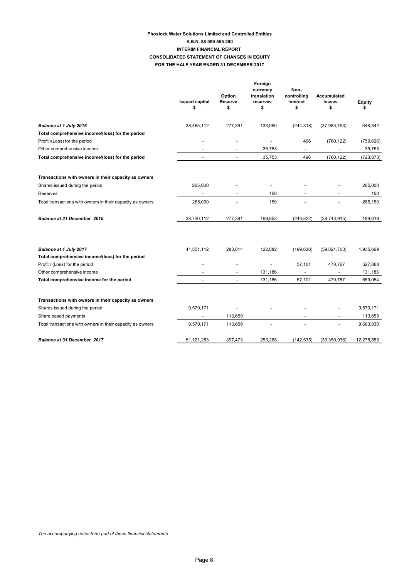## Phoslock Water Solutions Limited and Controlled Entities FOR THE HALF YEAR ENDED 31 DECEMBER 2017 CONSOLIDATED STATEMENT OF CHANGES IN EQUITY A.B.N. 88 099 555 290 INTERIM FINANCIAL REPORT

|                                                                            | <b>Issued capital</b><br>\$ | Option<br>Reserve<br>\$  | Foreign<br>currency<br>translation<br>reserves<br>\$ | Non-<br>controlling<br>interest<br>\$ | <b>Accumulated</b><br>losses<br>\$ | Equity<br>s |
|----------------------------------------------------------------------------|-----------------------------|--------------------------|------------------------------------------------------|---------------------------------------|------------------------------------|-------------|
| Balance at 1 July 2016                                                     | 38,465,112                  | 277,391                  | 133,950                                              | (244, 318)                            | (37, 983, 793)                     | 648,342     |
| Total comprehensive income/(loss) for the period                           |                             |                          |                                                      |                                       |                                    |             |
| Profit /(Loss) for the period                                              |                             |                          | $\overline{a}$                                       | 496                                   | (760, 122)                         | (759, 626)  |
| Other comprehensive income                                                 |                             | $\overline{a}$           | 35,753                                               | $\overline{\phantom{a}}$              | $\overline{a}$                     | 35,753      |
| Total comprehensive income/(loss) for the period                           | $\blacksquare$              | $\overline{a}$           | 35,753                                               | 496                                   | (760, 122)                         | (723,873)   |
| Transactions with owners in their capacity as owners                       |                             |                          |                                                      |                                       |                                    |             |
| Shares issued during the period                                            | 265,000                     |                          |                                                      |                                       |                                    | 265,000     |
| Reserves                                                                   | $\overline{\phantom{a}}$    | $\blacksquare$           | 150                                                  | $\overline{\phantom{a}}$              | $\overline{\phantom{0}}$           | 150         |
| Total transactions with owners in their capacity as owners                 | 265,000                     |                          | 150                                                  |                                       |                                    | 265,150     |
| <b>Balance at 31 December 2016</b>                                         | 38,730,112                  | 277,391                  | 169,853                                              | (243, 822)                            | (38, 743, 915)                     | 189,619     |
| Balance at 1 July 2017<br>Total comprehensive income/(loss) for the period | 41,551,112                  | 283,814                  | 122,082                                              | (199, 636)                            | (39, 821, 703)                     | 1,935,669   |
| Profit / (Loss) for the period                                             |                             |                          | $\overline{\phantom{a}}$                             | 57,101                                | 470,767                            | 527,868     |
| Other comprehensive income                                                 |                             | $\overline{\phantom{a}}$ | 131,186                                              | $\overline{\phantom{a}}$              | $\overline{\phantom{a}}$           | 131,186     |
| Total comprehensive income for the period                                  |                             |                          | 131,186                                              | 57,101                                | 470,767                            | 659,054     |
| Transactions with owners in their capacity as owners                       |                             |                          |                                                      |                                       |                                    |             |
| Shares issued during the period                                            | 9,570,171                   |                          |                                                      |                                       |                                    | 9,570,171   |
| Share based payments                                                       |                             | 113,659                  |                                                      |                                       |                                    | 113,659     |
| Total transactions with owners in their capacity as owners                 | 9,570,171                   | 113,659                  |                                                      |                                       |                                    | 9,683,830   |
| <b>Balance at 31 December 2017</b>                                         | 51,121,283                  | 397,473                  | 253,268                                              | (142, 535)                            | (39, 350, 936)                     | 12,278,553  |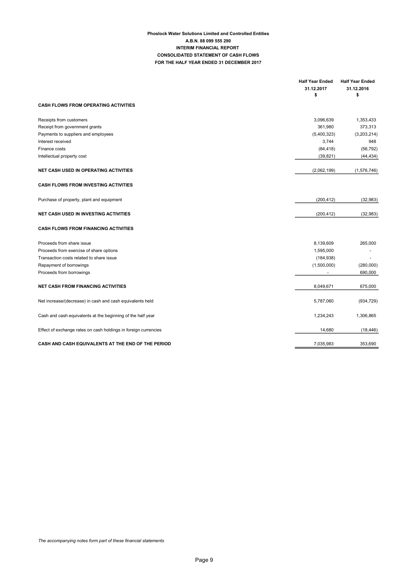## Phoslock Water Solutions Limited and Controlled Entities CONSOLIDATED STATEMENT OF CASH FLOWS FOR THE HALF YEAR ENDED 31 DECEMBER 2017 A.B.N. 88 099 555 290 INTERIM FINANCIAL REPORT

|                                                                 | <b>Half Year Ended</b> | <b>Half Year Ended</b>   |
|-----------------------------------------------------------------|------------------------|--------------------------|
|                                                                 | 31.12.2017             | 31.12.2016               |
|                                                                 | \$                     | \$                       |
| <b>CASH FLOWS FROM OPERATING ACTIVITIES</b>                     |                        |                          |
| Receipts from customers                                         | 3,096,639              | 1,353,433                |
| Receipt from government grants                                  | 361,980                | 373,313                  |
| Payments to suppliers and employees                             | (5,400,323)            | (3,203,214)              |
| Interest received                                               | 3,744                  | 948                      |
| Finance costs                                                   | (84, 418)              | (56, 792)                |
| Intellectual property cost                                      | (39, 821)              | (44, 434)                |
| <b>NET CASH USED IN OPERATING ACTIVITIES</b>                    | (2,062,199)            | (1,576,746)              |
| <b>CASH FLOWS FROM INVESTING ACTIVITIES</b>                     |                        |                          |
| Purchase of property, plant and equipment                       | (200, 412)             | (32, 983)                |
| <b>NET CASH USED IN INVESTING ACTIVITIES</b>                    | (200, 412)             | (32, 983)                |
| <b>CASH FLOWS FROM FINANCING ACTIVITIES</b>                     |                        |                          |
| Proceeds from share issue                                       | 8,139,609              | 265,000                  |
| Proceeds from exercise of share options                         | 1,595,000              | $\overline{\phantom{0}}$ |
| Transaction costs related to share issue                        | (184, 938)             |                          |
| Repayment of borrowings                                         | (1,500,000)            | (280,000)                |
| Proceeds from borrowings                                        |                        | 690,000                  |
| <b>NET CASH FROM FINANCING ACTIVITIES</b>                       | 8,049,671              | 675,000                  |
| Net increase/(decrease) in cash and cash equivalents held       | 5,787,060              | (934, 729)               |
| Cash and cash equivalents at the beginning of the half year     | 1,234,243              | 1,306,865                |
| Effect of exchange rates on cash holdings in foreign currencies | 14,680                 | (18, 446)                |
| CASH AND CASH EQUIVALENTS AT THE END OF THE PERIOD              | 7,035,983              | 353,690                  |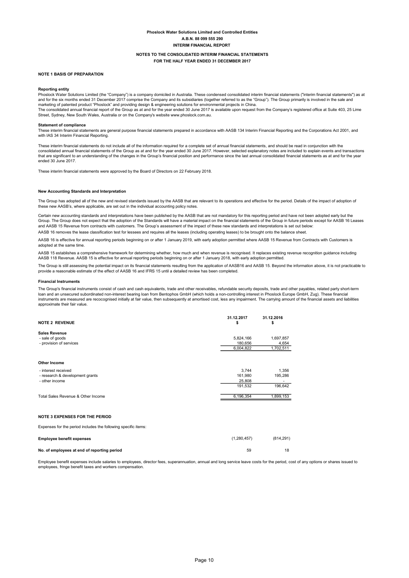#### NOTES TO THE CONSOLIDATED INTERIM FINANCIAL STATEMENTS FOR THE HALF YEAR ENDED 31 DECEMBER 2017

#### NOTE 1 BASIS OF PREPARATION

#### Reporting entity

Phoslock Water Solutions Limited (the "Company") is a company domiciled in Australia. These condensed consolidated interim financial statements ("interim financial statements") as at and for the six months ended 31 December 2017 comprise the Company and its subsidiaries (together referred to as the "Group"). The Group primarily is involved in the sale and marketing of patented product "Phoslock" and providing design & engineering solutions for environmental projects in China. The consolidated annual financial report of the Group as at and for the year ended 30 June 2017 is available upon request from the Company's registered office at Suite 403, 25 Lime

Street, Sydney, New South Wales, Australia or on the Company's website www.phoslock.com.au.

#### Statement of compliance

These interim financial statements are general purpose financial statements prepared in accordance with AASB 134 Interim Financial Reporting and the Corporations Act 2001, and with IAS 34 Interim Financial Reporting.

These interim financial statements do not include all of the information required for a complete set of annual financial statements, and should be read in conjunction with the consolidated annual financial statements of the Group as at and for the year ended 30 June 2017. However, selected explanatory notes are included to explain events and transactions that are significant to an understanding of the changes in the Group's financial position and performance since the last annual consolidated financial statements as at and for the year ended 30 June 2017.

These interim financial statements were approved by the Board of Directors on 22 February 2018.

#### New Accounting Standards and Interpretation

The Group has adopted all of the new and revised standards issued by the AASB that are relevant to its operations and effective for the period. Details of the impact of adoption of these new AASB's, where applicable, are set out in the individual accounting policy notes.

Certain new accounting standards and interpretations have been published by the AASB that are not mandatory for this reporting period and have not been adopted early but the Group. The Group does not expect that the adoption of the Standards will have a material impact on the financial statements of the Group in future periods except for AASB 16 Leases and AASB 15 Revenue from contracts with customers. The Group's assessment of the impact of these new standards and interpretations is set out below: AASB 16 removes the lease classification test for lessees and requires all the leases (including operating leases) to be brought onto the balance sheet.

AASB 16 is effective for annual reporting periods beginning on or after 1 January 2019, with early adoption permitted where AASB 15 Revenue from Contracts with Customers is

adopted at the same time.

AASB 15 establishes a comprehensive framework for determining whether, how much and when revenue is recognised. It replaces existing revenue recognition guidance including AASB 118 Revenue. AASB 15 is effective for annual reporting periods beginning on or after 1 January 2018, with early adoption permitted.

The Group is still assessing the potential impact on its financial statements resulting from the application of AASB16 and AASB 15. Beyond the information above, it is not practicable to provide a reasonable estimate of the effect of AASB 16 and IFRS 15 until a detailed review has been completed.

#### Financial Instruments

The Group's financial instruments consist of cash and cash equivalents, trade and other receivables, refundable security deposits, trade and other payables, related party short-term loan and an unsecured subordinated non-interest bearing loan from Bentophos GmbH (which holds a non-controlling interest in Phoslock Europe GmbH, Zug). These financial<br>instruments are measured are recocognised initially at approximate their fair value.

| <b>NOTE 2 REVENUE</b>              | 31.12.2017<br>ъ | 31.12.2016<br>\$ |
|------------------------------------|-----------------|------------------|
| Sales Revenue                      |                 |                  |
| - sale of goods                    | 5,824,166       | 1,697,857        |
| - provision of services            | 180.656         | 4,654            |
|                                    | 6,004,822       | 1,702,511        |
| <b>Other Income</b>                |                 |                  |
| - interest received                | 3.744           | 1,356            |
| - research & development grants    | 161,980         | 195,286          |
| - other income                     | 25,808          |                  |
|                                    | 191.532         | 196,642          |
| Total Sales Revenue & Other Income | 6,196,354       | 1,899,153        |

#### NOTE 3 EXPENSES FOR THE PERIOD

Expenses for the period includes the following specific items:

| <b>Employee benefit expenses</b>            | (1,280,457) | (814.291) |
|---------------------------------------------|-------------|-----------|
| No. of employees at end of reporting period | 59          |           |

Employee benefit expenses include salaries to employees, director fees, superannuation, annual and long service leave costs for the period, cost of any options or shares issued to employees, fringe benefit taxes and workers compensation.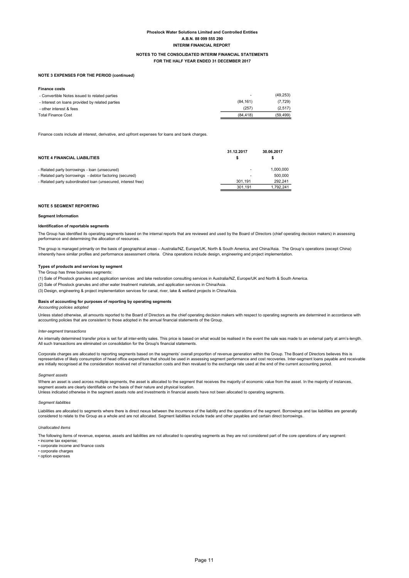#### NOTES TO THE CONSOLIDATED INTERIM FINANCIAL STATEMENTS FOR THE HALF YEAR ENDED 31 DECEMBER 2017

#### NOTE 3 EXPENSES FOR THE PERIOD (continued)

| <b>Finance costs</b>                            |          |           |
|-------------------------------------------------|----------|-----------|
| - Convertible Notes issued to related parties   | ٠        | (49, 253) |
| - Interest on loans provided by related parties | (84.161) | (7, 729)  |
| - other interest & fees                         | (257)    | (2, 517)  |
| <b>Total Finance Cost</b>                       | (84.418) | (59, 499) |

Finance costs include all interest, derivative, and upfront expenses for loans and bank charges.

| <b>NOTE 4 FINANCIAL LIABILITIES</b>                          | 31.12.2017 | 30.06.2017 |
|--------------------------------------------------------------|------------|------------|
| - Related party borrowings - loan (unsecured)                |            | 1.000.000  |
| - Related party borrowings - debtor factoring (secured)      |            | 500,000    |
| - Related party subordinated loan (unsecured, interest free) | 301.191    | 292.241    |
|                                                              | 301.191    | 1.792.241  |

#### NOTE 5 SEGMENT REPORTING

#### Segment Information

#### Identification of reportable segments

The Group has identified its operating segments based on the internal reports that are reviewed and used by the Board of Directors (chief operating decision makers) in assessing performance and determining the allocation of resources.

The group is managed primarily on the basis of geographical areas – Australia/NZ, Europe/UK, North & South America, and China/Asia. The Group's operations (except China) inherently have similar profiles and performance assessment criteria. China operations include design, engineering and project implementation.

#### Types of products and services by segment

#### The Group has three business segments:

(1) Sale of Phoslock granules and application services and lake restoration consulting services in Australia/NZ, Europe/UK and North & South America.

(2) Sale of Phoslock granules and other water treatment materials, and application services in China/Asia.

(3) Design, engineering & project implementation services for canal, river, lake & wetland projects in China/Asia.

#### Basis of accounting for purposes of reporting by operating segments

Accounting policies adopted

Unless stated otherwise, all amounts reported to the Board of Directors as the chief operating decision makers with respect to operating segments are determined in accordance with accounting policies that are consistent to those adopted in the annual financial statements of the Group.

#### Inter-segment transactions

An internally determined transfer price is set for all inter-entity sales. This price is based on what would be realised in the event the sale was made to an external party at arm's-length. All such transactions are eliminated on consolidation for the Group's financial statements.

Corporate charges are allocated to reporting segments based on the segments' overall proportion of revenue generation within the Group. The Board of Directors believes this is<br>representative of likely consumption of head o are initially recognised at the consideration received net of transaction costs and then revalued to the exchange rate used at the end of the current accounting period.

#### Segment assets

Where an asset is used across multiple segments, the asset is allocated to the segment that receives the majority of economic value from the asset. In the majority of instances, segment assets are clearly identifiable on the basis of their nature and physical location.

Unless indicated otherwise in the segment assets note and investments in financial assets have not been allocated to operating segments.

#### Segment liabilities

Liabilities are allocated to segments where there is direct nexus between the incurrence of the liability and the operations of the segment. Borrowings and tax liabilities are generally considered to relate to the Group as a whole and are not allocated. Segment liabilities include trade and other payables and certain direct borrowings.

#### Unallocated items

The following items of revenue, expense, assets and liabilities are not allocated to operating segments as they are not considered part of the core operations of any segment:

- income tax expense;
- corporate income and finance costs
- corporate charges
- option expenses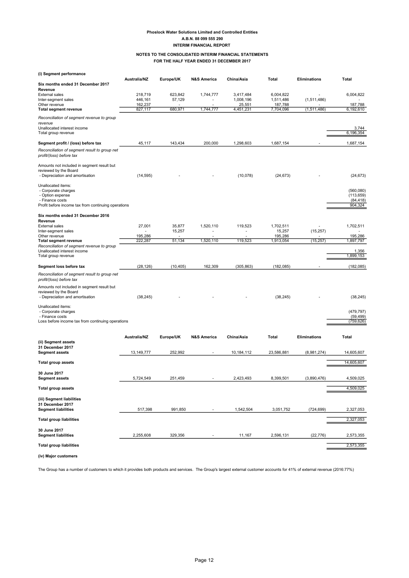#### NOTES TO THE CONSOLIDATED INTERIM FINANCIAL STATEMENTS FOR THE HALF YEAR ENDED 31 DECEMBER 2017

| (i) Segment performance                                                                                                                 |                    |                   |                        |                        |                        |                     |                                                 |
|-----------------------------------------------------------------------------------------------------------------------------------------|--------------------|-------------------|------------------------|------------------------|------------------------|---------------------|-------------------------------------------------|
| Six months ended 31 December 2017<br>Revenue                                                                                            | Australia/NZ       | Europe/UK         | <b>N&amp;S America</b> | China/Asia             | Total                  | <b>Eliminations</b> | Total                                           |
| <b>External sales</b><br>Inter-segment sales                                                                                            | 218,719<br>446,161 | 623,842<br>57,129 | 1,744,777              | 3,417,484<br>1,008,196 | 6,004,822<br>1,511,486 | (1,511,486)         | 6,004,822                                       |
| Other revenue                                                                                                                           | 162,237            |                   |                        | 25,551                 | 187,788                |                     | 187,788                                         |
| <b>Total segment revenue</b>                                                                                                            | 827,117            | 680,971           | 1,744,777              | 4,451,231              | 7,704,096              | (1, 511, 486)       | 6,192,610                                       |
| Reconciliation of segment revenue to group<br>revenue<br>Unallocated interest income<br>Total group revenue                             |                    |                   |                        |                        |                        |                     | 3,744<br>6,196,354                              |
| Segment profit / (loss) before tax                                                                                                      | 45,117             | 143,434           | 200,000                | 1,298,603              | 1,687,154              |                     | 1,687,154                                       |
| Reconciliation of segment result to group net<br>profit/(loss) before tax                                                               |                    |                   |                        |                        |                        |                     |                                                 |
| Amounts not included in segment result but<br>reviewed by the Board<br>- Depreciation and amortisation                                  | (14, 595)          |                   |                        | (10, 078)              | (24, 673)              |                     | (24, 673)                                       |
| Unallocated items:<br>- Corporate charges<br>- Option expense<br>- Finance costs<br>Profit before income tax from continuing operations |                    |                   |                        |                        |                        |                     | (560,080)<br>(113, 659)<br>(84, 418)<br>904,324 |
| Six months ended 31 December 2016<br>Revenue                                                                                            |                    |                   |                        |                        |                        |                     |                                                 |
| <b>External sales</b><br>Inter-segment sales                                                                                            | 27,001             | 35.877<br>15,257  | 1,520,110              | 119,523                | 1,702,511<br>15,257    | (15, 257)           | 1,702,511                                       |
| Other revenue<br><b>Total segment revenue</b>                                                                                           | 195,286<br>222,287 | 51,134            | 1,520,110              | 119,523                | 195,286<br>1,913,054   | (15, 257)           | 195,286<br>1,897,797                            |
| Reconciliation of segment revenue to group<br>Unallocated interest income<br>Total group revenue                                        |                    |                   |                        |                        |                        |                     | 1,356<br>1,899,153                              |
| Segment loss before tax                                                                                                                 | (28, 126)          | (10, 405)         | 162,309                | (305, 863)             | (182, 085)             | ٠                   | (182, 085)                                      |
| Reconciliation of segment result to group net<br>profit/(loss) before tax                                                               |                    |                   |                        |                        |                        |                     |                                                 |
| Amounts not included in segment result but<br>reviewed by the Board<br>- Depreciation and amortisation                                  | (38, 245)          |                   |                        |                        | (38, 245)              |                     | (38, 245)                                       |
| Unallocated items:<br>- Corporate charges<br>- Finance costs                                                                            |                    |                   |                        |                        |                        |                     | (479, 797)<br>(59, 499)                         |
| Loss before income tax from continuing operations                                                                                       |                    |                   |                        |                        |                        |                     | (759, 626)                                      |
| (ii) Segment assets                                                                                                                     | Australia/NZ       | Europe/UK         | <b>N&amp;S America</b> | China/Asia             | Total                  | <b>Eliminations</b> | Total                                           |
| 31 December 2017<br><b>Segment assets</b>                                                                                               | 13, 149, 777       | 252,992           |                        | 10,184,112             | 23,586,881             | (8,981,274)         | 14,605,607                                      |
| <b>Total group assets</b>                                                                                                               |                    |                   |                        |                        |                        |                     | 14,605,607                                      |
| 30 June 2017<br><b>Segment assets</b>                                                                                                   | 5.724.549          | 251.459           |                        | 2.423.493              | 8.399.501              | (3.890.476)         | 4.509.025                                       |
| <b>Total group assets</b>                                                                                                               |                    |                   |                        |                        |                        |                     | 4,509,025                                       |
| (iii) Segment liabilities<br>31 December 2017<br><b>Segment liabilities</b>                                                             | 517,398            | 991,850           |                        | 1,542,504              | 3,051,752              | (724, 699)          | 2,327,053                                       |
| <b>Total group liabilities</b>                                                                                                          |                    |                   |                        |                        |                        |                     | 2,327,053                                       |
| 30 June 2017<br><b>Segment liabilities</b>                                                                                              | 2,255,608          | 329,356           |                        | 11,167                 | 2,596,131              | (22, 776)           | 2,573,355                                       |
| <b>Total group liabilities</b>                                                                                                          |                    |                   |                        |                        |                        |                     | 2,573,355                                       |
| (iv) Major customers                                                                                                                    |                    |                   |                        |                        |                        |                     |                                                 |

The Group has a number of customers to which it provides both products and services. The Group's largest external customer accounts for 41% of external revenue (2016:77%)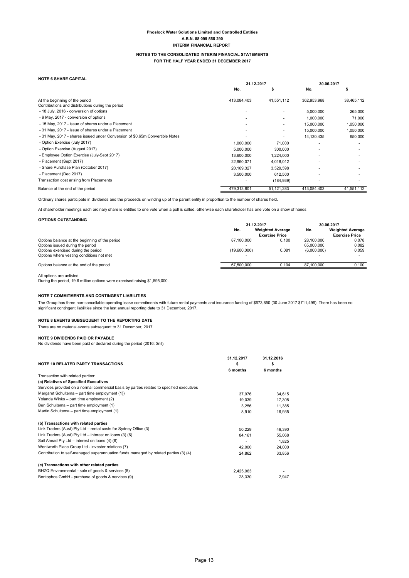#### NOTES TO THE CONSOLIDATED INTERIM FINANCIAL STATEMENTS FOR THE HALF YEAR ENDED 31 DECEMBER 2017

| <b>NOTE 6 SHARE CAPITAL</b> |
|-----------------------------|
|-----------------------------|

|                                                                              | 31.12.2017  |            | 30.06.2017  |            |
|------------------------------------------------------------------------------|-------------|------------|-------------|------------|
|                                                                              | No.         |            | No.         |            |
| At the beginning of the period                                               | 413,084,403 | 41,551,112 | 362,953,968 | 38,465,112 |
| Contributions and distributions during the period                            |             |            |             |            |
| - 18 July, 2016 - conversion of options                                      |             |            | 5,000,000   | 265,000    |
| - 9 May, 2017 - conversion of options                                        |             |            | 1,000,000   | 71,000     |
| - 15 May, 2017 - issue of shares under a Placement                           |             |            | 15,000,000  | 1,050,000  |
| - 31 May, 2017 - issue of shares under a Placement                           |             |            | 15,000,000  | 1,050,000  |
| - 31 May, 2017 - shares issued under Conversion of \$0.65m Convertible Notes |             |            | 14,130,435  | 650,000    |
| - Option Exercise (July 2017)                                                | 1,000,000   | 71,000     |             |            |
| - Option Exercise (August 2017)                                              | 5,000,000   | 300,000    |             |            |
| - Employee Option Exercise (July-Sept 2017)                                  | 13,600,000  | 1,224,000  |             |            |
| - Placement (Sept 2017)                                                      | 22,960,071  | 4,018,012  |             |            |
| - Share Purchase Plan (October 2017)                                         | 20,169,327  | 3,529,598  |             |            |
| - Placement (Dec 2017)                                                       | 3,500,000   | 612,500    |             |            |
| Transaction cost arising from Placements                                     |             | (184, 939) |             |            |
| Balance at the end of the period                                             | 479,313,801 | 51,121,283 | 413,084,403 | 41,551,112 |

Ordinary shares participate in dividends and the proceeds on winding up of the parent entity in proportion to the number of shares held.

At shareholder meetings each ordinary share is entitled to one vote when a poll is called, otherwise each shareholder has one vote on a show of hands.

#### OPTIONS OUTSTANDING

|                                                | 31.12.2017            |                         | 30.06.2017  |                         |
|------------------------------------------------|-----------------------|-------------------------|-------------|-------------------------|
|                                                | No.                   | <b>Weighted Average</b> | No.         | <b>Weighted Average</b> |
|                                                | <b>Exercise Price</b> |                         |             | <b>Exercise Price</b>   |
| Options balance at the beginning of the period | 87.100.000            | 0.100                   | 28.100.000  | 0.078                   |
| Options issued during the period               |                       |                         | 65,000,000  | 0.082                   |
| Options exercised during the period            | (19.600.000)          | 0.081                   | (6.000.000) | 0.059                   |
| Options where vesting conditions not met       |                       |                         |             |                         |
| Options balance at the end of the period       | 67.500.000            | 0.104                   | 87.100.000  | 0.100                   |

#### All options are unlisted.

During the period, 19.6 million options were exercised raising \$1,595,000.

#### NOTE 7 COMMITMENTS AND CONTINGENT LIABILITIES

The Group has three non-cancellable operating lease commitments with future rental payments and insurance funding of \$673,850 (30 June 2017 \$711,496). There has been no significant contingent liabilities since the last annual reporting date to 31 December, 2017.

#### NOTE 8 EVENTS SUBSEQUENT TO THE REPORTING DATE

There are no material events subsequent to 31 December, 2017.

NOTE 9 DIVIDENDS PAID OR PAYABLE No dividends have been paid or declared during the period (2016: \$nil).

|                                                                                           | 31.12.2017 | 31.12.2016 |  |
|-------------------------------------------------------------------------------------------|------------|------------|--|
| <b>NOTE 10 RELATED PARTY TRANSACTIONS</b>                                                 | \$         |            |  |
|                                                                                           | 6 months   | 6 months   |  |
| Transaction with related parties:                                                         |            |            |  |
| (a) Relatives of Specified Executives                                                     |            |            |  |
| Services provided on a normal commercial basis by parties related to specified executives |            |            |  |
| Margaret Schuitema - part time employment (1))                                            | 37,976     | 34,615     |  |
| Yolanda Winks - part time employment (2)                                                  | 19.039     | 17,308     |  |
| Ben Schuitema - part time employment (1)                                                  | 3,256      | 11,385     |  |
| Martin Schuitema - part time employment (1)                                               | 8,910      | 16,935     |  |
| (b) Transactions with related parties                                                     |            |            |  |
| Link Traders (Aust) Pty Ltd - rental costs for Sydney Office (3)                          | 50.229     | 49,390     |  |
| Link Traders (Aust) Pty Ltd - interest on loans (3) (6)                                   | 84,161     | 55.068     |  |
| Sail Ahead Pty Ltd - interest on loans (4) (6)                                            |            | 1,825      |  |
| Wentworth Place Group Ltd - investor relations (7)                                        | 42,000     | 24,000     |  |
| Contribution to self-managed superannuation funds managed by related parties (3) (4)      | 24,862     | 33,856     |  |
| (c) Transactions with other related parties                                               |            |            |  |
| BHZQ Environmental - sale of goods & services (8)                                         | 2,425,963  |            |  |
| Bentophos GmbH - purchase of goods & services (9)                                         | 28,330     | 2,947      |  |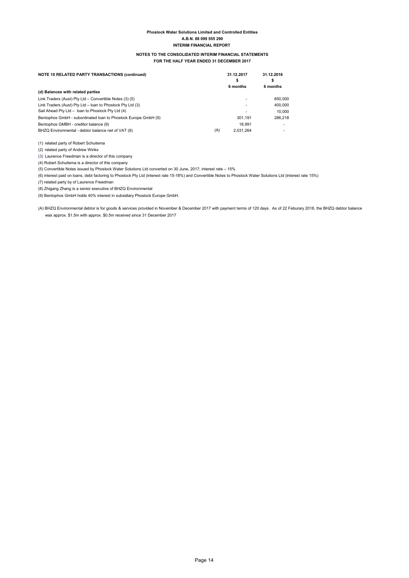#### NOTES TO THE CONSOLIDATED INTERIM FINANCIAL STATEMENTS FOR THE HALF YEAR ENDED 31 DECEMBER 2017

| <b>NOTE 10 RELATED PARTY TRANSACTIONS (continued)</b>          |     | 31.12.2017<br>\$<br>6 months | 31.12.2016<br>s<br>6 months |
|----------------------------------------------------------------|-----|------------------------------|-----------------------------|
| (d) Balances with related parties                              |     |                              |                             |
| Link Traders (Aust) Pty Ltd - Convertible Notes (3) (5)        |     |                              | 650.000                     |
| Link Traders (Aust) Pty Ltd - loan to Phoslock Pty Ltd (3)     |     |                              | 400.000                     |
| Sail Ahead Pty Ltd - Ioan to Phoslock Pty Ltd (4)              |     |                              | 10.000                      |
| Bentophos GmbH - subordinated loan to Phoslock Europe GmbH (9) |     | 301.191                      | 286.218                     |
| Bentophos GMBH - creditor balance (9)                          |     | 18.991                       | ۰                           |
| BHZQ Environmental - debtor balance net of VAT (8)             | (A) | 2.031.264                    | ۰                           |

(1) related party of Robert Schuitema

(2) related party of Andrew Winks

(3) Laurence Freedman is a director of this company

(4) Robert Schuitema is a director of this company

(5) Convertible Notes issued by Phoslock Water Solutions Ltd converted on 30 June, 2017; interest rate – 15%

(6) interest paid on loans, debt factoring to Phoslock Pty Ltd (interest rate 15-18%) and Convertible Notes to Phoslock Water Solutions Ltd (interest rate 15%)

(7) related party by of Laurence Freedman

(8) Zhigang Zhang is a senior executive of BHZQ Environmental

(9) Bentophos GmbH holds 40% interest in subsidiary Phoslock Europe GmbH.

(A) BHZQ Environmental debtor is for goods & services provided in November & December 2017 with payment terms of 120 days. As of 22 Feburary 2018, the BHZQ debtor balance was approx. \$1.5m with approx. \$0.5m received since 31 December 2017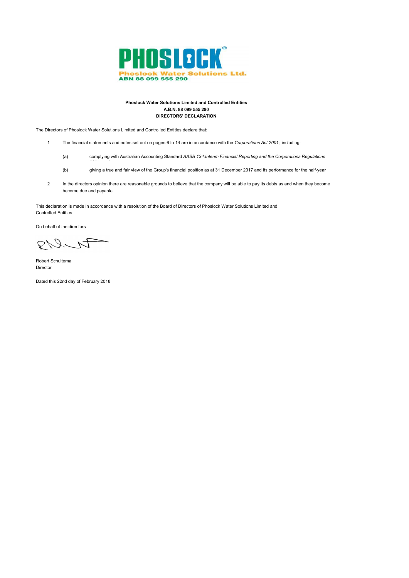

#### Phoslock Water Solutions Limited and Controlled Entities A.B.N. 88 099 555 290 DIRECTORS' DECLARATION

The Directors of Phoslock Water Solutions Limited and Controlled Entities declare that:

- 1 The financial statements and notes set out on pages 6 to 14 are in accordance with the Corporations Act 2001; including:
	- (a) complying with Australian Accounting Standard AASB 134:Interim Financial Reporting and the Corporations Regulations
	- (b) giving a true and fair view of the Group's financial position as at 31 December 2017 and its performance for the half-year
- 2 become due and payable. In the directors opinion there are reasonable grounds to believe that the company will be able to pay its debts as and when they become

This declaration is made in accordance with a resolution of the Board of Directors of Phoslock Water Solutions Limited and Controlled Entities.

On behalf of the directors

PULI

Robert Schuitema Director

Dated this 22nd day of February 2018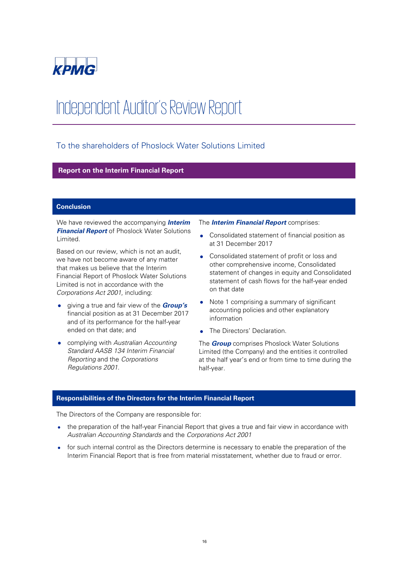

# Independent Auditor's Review Report

# To the shareholders of Phoslock Water Solutions Limited

# **Report on the Interim Financial Report**

# **Conclusion**

We have reviewed the accompanying **Interim Financial Report** of Phoslock Water Solutions Limited.

Based on our review, which is not an audit, we have not become aware of any matter that makes us believe that the Interim Financial Report of Phoslock Water Solutions Limited is not in accordance with the Corporations Act 2001, including:

- giving a true and fair view of the **Group's** financial position as at 31 December 2017 and of its performance for the half-year ended on that date; and
- complying with Australian Accounting Standard AASB 134 Interim Financial Reporting and the Corporations Regulations 2001.

The **Interim Financial Report** comprises:

- Consolidated statement of financial position as at 31 December 2017
- Consolidated statement of profit or loss and other comprehensive income, Consolidated statement of changes in equity and Consolidated statement of cash flows for the half-year ended on that date
- Note 1 comprising a summary of significant accounting policies and other explanatory information
- The Directors' Declaration.

The **Group** comprises Phoslock Water Solutions Limited (the Company) and the entities it controlled at the half year's end or from time to time during the half-year.

# **Responsibilities of the Directors for the Interim Financial Report**

The Directors of the Company are responsible for:

- the preparation of the half-year Financial Report that gives a true and fair view in accordance with Australian Accounting Standards and the Corporations Act 2001
- for such internal control as the Directors determine is necessary to enable the preparation of the Interim Financial Report that is free from material misstatement, whether due to fraud or error.